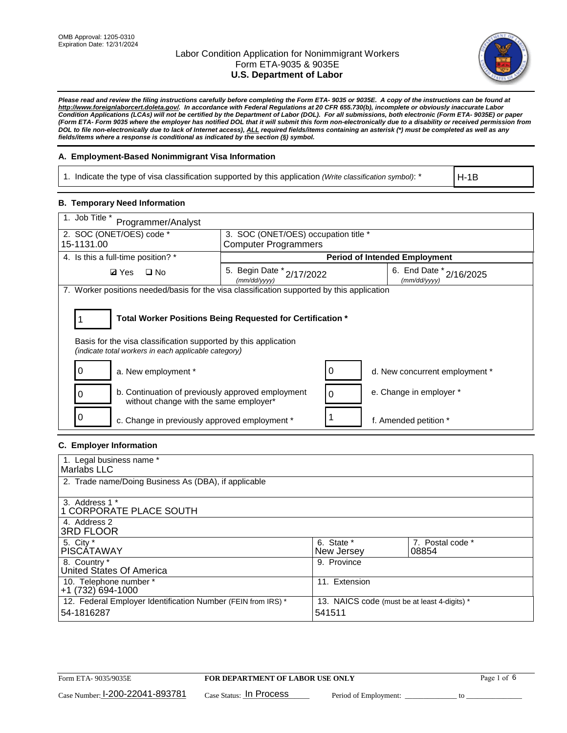

*Please read and review the filing instructions carefully before completing the Form ETA- 9035 or 9035E. A copy of the instructions can be found at http://www.foreignlaborcert.doleta.gov/. In accordance with Federal Regulations at 20 CFR 655.730(b), incomplete or obviously inaccurate Labor Condition Applications (LCAs) will not be certified by the Department of Labor (DOL). For all submissions, both electronic (Form ETA- 9035E) or paper (Form ETA- Form 9035 where the employer has notified DOL that it will submit this form non-electronically due to a disability or received permission from DOL to file non-electronically due to lack of Internet access), ALL required fields/items containing an asterisk (\*) must be completed as well as any fields/items where a response is conditional as indicated by the section (§) symbol.* 

### **A. Employment-Based Nonimmigrant Visa Information**

1. Indicate the type of visa classification supported by this application *(Write classification symbol)*: \*

H-1B

#### **B. Temporary Need Information**

| 1. Job Title *<br>Programmer/Analyst                                                                                                                                                  |                                           |   |                                         |  |
|---------------------------------------------------------------------------------------------------------------------------------------------------------------------------------------|-------------------------------------------|---|-----------------------------------------|--|
| 2. SOC (ONET/OES) code *<br>3. SOC (ONET/OES) occupation title *                                                                                                                      |                                           |   |                                         |  |
| 15-1131.00                                                                                                                                                                            | <b>Computer Programmers</b>               |   |                                         |  |
| 4. Is this a full-time position? *                                                                                                                                                    |                                           |   | <b>Period of Intended Employment</b>    |  |
| $\square$ No<br><b>Ø</b> Yes                                                                                                                                                          | 5. Begin Date * 2/17/2022<br>(mm/dd/yyyy) |   | 6. End Date * 2/16/2025<br>(mm/dd/yyyy) |  |
| 7. Worker positions needed/basis for the visa classification supported by this application                                                                                            |                                           |   |                                         |  |
| Total Worker Positions Being Requested for Certification *<br>Basis for the visa classification supported by this application<br>(indicate total workers in each applicable category) |                                           |   |                                         |  |
| a. New employment *                                                                                                                                                                   |                                           |   | d. New concurrent employment *          |  |
| b. Continuation of previously approved employment<br>without change with the same employer*                                                                                           |                                           | 0 | e. Change in employer *                 |  |
| 0<br>c. Change in previously approved employment *                                                                                                                                    |                                           |   | f. Amended petition *                   |  |

### **C. Employer Information**

| 1. Legal business name *                                                   |                                                        |                           |
|----------------------------------------------------------------------------|--------------------------------------------------------|---------------------------|
| Marlabs LLC                                                                |                                                        |                           |
| 2. Trade name/Doing Business As (DBA), if applicable                       |                                                        |                           |
| 3. Address 1 *<br>1 CORPORATE PLACE SOUTH<br>4. Address 2                  |                                                        |                           |
| <b>3RD FLOOR</b>                                                           |                                                        |                           |
| 5. City *<br><b>PISCÁTAWAY</b>                                             | 6. State *<br>New Jersey                               | 7. Postal code *<br>08854 |
| 8. Country *<br>United States Of America                                   | 9. Province                                            |                           |
| 10. Telephone number *<br>$+1(732)694-1000$                                | 11. Extension                                          |                           |
| 12. Federal Employer Identification Number (FEIN from IRS) *<br>54-1816287 | 13. NAICS code (must be at least 4-digits) *<br>541511 |                           |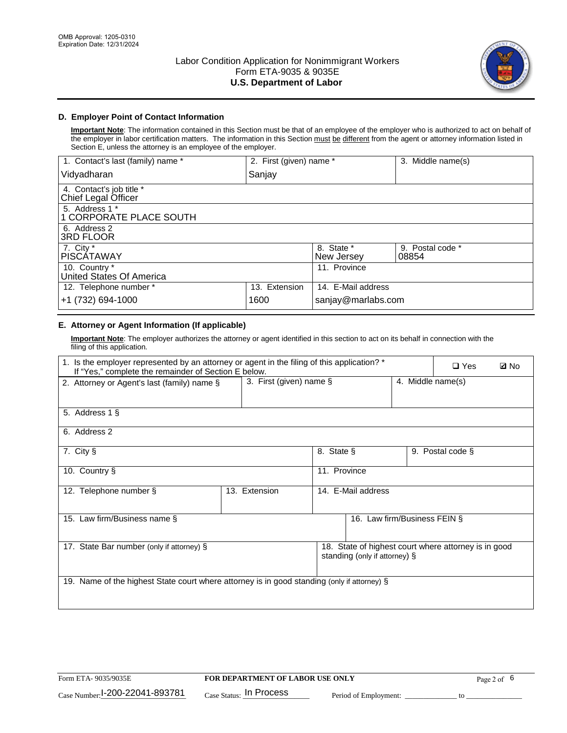

# **D. Employer Point of Contact Information**

**Important Note**: The information contained in this Section must be that of an employee of the employer who is authorized to act on behalf of the employer in labor certification matters. The information in this Section must be different from the agent or attorney information listed in Section E, unless the attorney is an employee of the employer.

| 1. Contact's last (family) name *               | 2. First (given) name * |                          | 3. Middle name(s)         |
|-------------------------------------------------|-------------------------|--------------------------|---------------------------|
| Vidyadharan                                     | Sanjay                  |                          |                           |
| 4. Contact's job title *<br>Chief Legal Officer |                         |                          |                           |
| 5. Address 1 *<br>1 CORPORATE PLACE SOUTH       |                         |                          |                           |
| 6. Address 2<br>3RD FLOOR                       |                         |                          |                           |
| 7. City $*$<br><b>PISCÁTAWAY</b>                |                         | 8. State *<br>New Jersey | 9. Postal code *<br>08854 |
| 10. Country *<br>United States Of America       |                         | 11. Province             |                           |
| 12. Telephone number *                          | 13. Extension           | 14. E-Mail address       |                           |
| +1 (732) 694-1000                               | 1600                    | sanjay@marlabs.com       |                           |

# **E. Attorney or Agent Information (If applicable)**

**Important Note**: The employer authorizes the attorney or agent identified in this section to act on its behalf in connection with the filing of this application.

| 1. Is the employer represented by an attorney or agent in the filing of this application? *<br>If "Yes," complete the remainder of Section E below. |                            |              |                               |                   | $\Box$ Yes                                           | <b>Ø</b> No |
|-----------------------------------------------------------------------------------------------------------------------------------------------------|----------------------------|--------------|-------------------------------|-------------------|------------------------------------------------------|-------------|
| 2. Attorney or Agent's last (family) name §                                                                                                         | 3. First (given) name $\S$ |              |                               | 4. Middle name(s) |                                                      |             |
| 5. Address 1 §                                                                                                                                      |                            |              |                               |                   |                                                      |             |
| 6. Address 2                                                                                                                                        |                            |              |                               |                   |                                                      |             |
| 7. City §                                                                                                                                           |                            | 8. State §   |                               |                   | 9. Postal code §                                     |             |
| 10. Country §                                                                                                                                       |                            | 11. Province |                               |                   |                                                      |             |
| 12. Telephone number §                                                                                                                              | 13. Extension              |              | 14. E-Mail address            |                   |                                                      |             |
| 15. Law firm/Business name §                                                                                                                        |                            |              | 16. Law firm/Business FEIN §  |                   |                                                      |             |
| 17. State Bar number (only if attorney) §                                                                                                           |                            |              | standing (only if attorney) § |                   | 18. State of highest court where attorney is in good |             |
| 19. Name of the highest State court where attorney is in good standing (only if attorney) §                                                         |                            |              |                               |                   |                                                      |             |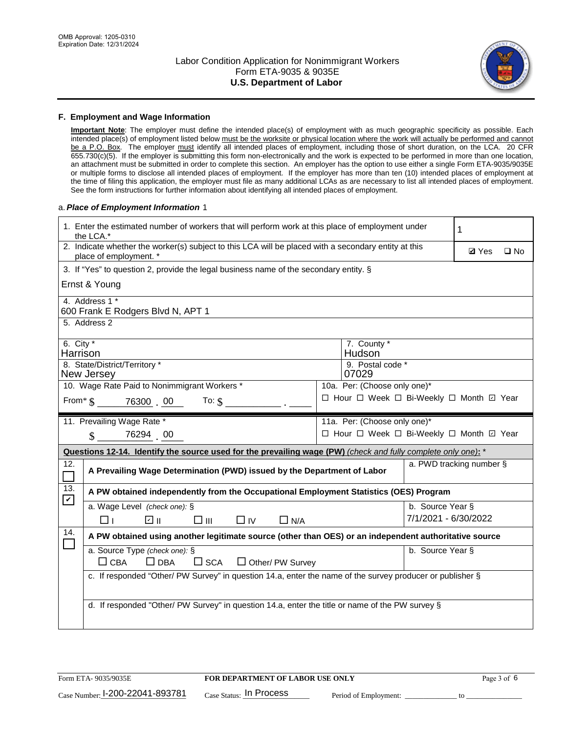

#### **F. Employment and Wage Information**

**Important Note**: The employer must define the intended place(s) of employment with as much geographic specificity as possible. Each intended place(s) of employment listed below must be the worksite or physical location where the work will actually be performed and cannot be a P.O. Box. The employer must identify all intended places of employment, including those of short duration, on the LCA. 20 CFR 655.730(c)(5). If the employer is submitting this form non-electronically and the work is expected to be performed in more than one location, an attachment must be submitted in order to complete this section. An employer has the option to use either a single Form ETA-9035/9035E or multiple forms to disclose all intended places of employment. If the employer has more than ten (10) intended places of employment at the time of filing this application, the employer must file as many additional LCAs as are necessary to list all intended places of employment. See the form instructions for further information about identifying all intended places of employment.

#### a.*Place of Employment Information* 1

|                                                                              | 1. Enter the estimated number of workers that will perform work at this place of employment under<br>the LCA.*                 |  | 1                                        |                      |                          |              |  |
|------------------------------------------------------------------------------|--------------------------------------------------------------------------------------------------------------------------------|--|------------------------------------------|----------------------|--------------------------|--------------|--|
|                                                                              | 2. Indicate whether the worker(s) subject to this LCA will be placed with a secondary entity at this<br>place of employment. * |  |                                          |                      |                          | $\square$ No |  |
|                                                                              | 3. If "Yes" to question 2, provide the legal business name of the secondary entity. §                                          |  |                                          |                      |                          |              |  |
|                                                                              | Ernst & Young                                                                                                                  |  |                                          |                      |                          |              |  |
|                                                                              | 4. Address 1 *<br>600 Frank E Rodgers Blvd N, APT 1                                                                            |  |                                          |                      |                          |              |  |
|                                                                              | 5. Address 2                                                                                                                   |  |                                          |                      |                          |              |  |
|                                                                              | 6. City $*$<br>7. County *<br>Hudson<br>Harrison<br>8. State/District/Territory *<br>9. Postal code *                          |  |                                          |                      |                          |              |  |
| New Jersey<br>07029                                                          |                                                                                                                                |  |                                          |                      |                          |              |  |
| 10. Wage Rate Paid to Nonimmigrant Workers *<br>10a. Per: (Choose only one)* |                                                                                                                                |  |                                          |                      |                          |              |  |
|                                                                              | □ Hour □ Week □ Bi-Weekly □ Month ☑ Year<br>From* \$ 76300 00<br>To: $\S$                                                      |  |                                          |                      |                          |              |  |
|                                                                              | 11. Prevailing Wage Rate *<br>11a. Per: (Choose only one)*                                                                     |  |                                          |                      |                          |              |  |
|                                                                              | 76294 00<br>$\mathbf{\$}$                                                                                                      |  | □ Hour □ Week □ Bi-Weekly □ Month ☑ Year |                      |                          |              |  |
|                                                                              | Questions 12-14. Identify the source used for the prevailing wage (PW) (check and fully complete only one): *                  |  |                                          |                      |                          |              |  |
| 12.                                                                          | A Prevailing Wage Determination (PWD) issued by the Department of Labor                                                        |  |                                          |                      | a. PWD tracking number § |              |  |
| 13.                                                                          | A PW obtained independently from the Occupational Employment Statistics (OES) Program                                          |  |                                          |                      |                          |              |  |
| $\mathbf v$                                                                  | a. Wage Level (check one): §                                                                                                   |  |                                          | b. Source Year §     |                          |              |  |
|                                                                              | ☑ ⊪<br>$\square$ $\square$<br>$\Box$ IV<br>$\Box$ N/A<br>□⊥                                                                    |  |                                          | 7/1/2021 - 6/30/2022 |                          |              |  |
| 14.                                                                          | A PW obtained using another legitimate source (other than OES) or an independent authoritative source                          |  |                                          |                      |                          |              |  |
|                                                                              | a. Source Type (check one): §<br>$\Box$ CBA<br>$\Box$ DBA<br>$\square$ SCA<br>$\Box$ Other/ PW Survey                          |  |                                          | b. Source Year §     |                          |              |  |
|                                                                              | c. If responded "Other/ PW Survey" in question 14.a, enter the name of the survey producer or publisher §                      |  |                                          |                      |                          |              |  |
|                                                                              | d. If responded "Other/ PW Survey" in question 14.a, enter the title or name of the PW survey §                                |  |                                          |                      |                          |              |  |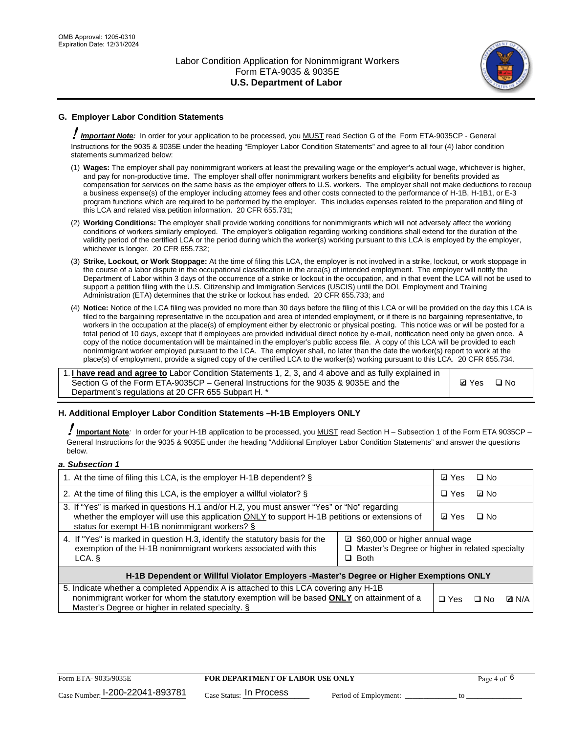

# **G. Employer Labor Condition Statements**

! *Important Note:* In order for your application to be processed, you MUST read Section G of the Form ETA-9035CP - General Instructions for the 9035 & 9035E under the heading "Employer Labor Condition Statements" and agree to all four (4) labor condition statements summarized below:

- (1) **Wages:** The employer shall pay nonimmigrant workers at least the prevailing wage or the employer's actual wage, whichever is higher, and pay for non-productive time. The employer shall offer nonimmigrant workers benefits and eligibility for benefits provided as compensation for services on the same basis as the employer offers to U.S. workers. The employer shall not make deductions to recoup a business expense(s) of the employer including attorney fees and other costs connected to the performance of H-1B, H-1B1, or E-3 program functions which are required to be performed by the employer. This includes expenses related to the preparation and filing of this LCA and related visa petition information. 20 CFR 655.731;
- (2) **Working Conditions:** The employer shall provide working conditions for nonimmigrants which will not adversely affect the working conditions of workers similarly employed. The employer's obligation regarding working conditions shall extend for the duration of the validity period of the certified LCA or the period during which the worker(s) working pursuant to this LCA is employed by the employer, whichever is longer. 20 CFR 655.732;
- (3) **Strike, Lockout, or Work Stoppage:** At the time of filing this LCA, the employer is not involved in a strike, lockout, or work stoppage in the course of a labor dispute in the occupational classification in the area(s) of intended employment. The employer will notify the Department of Labor within 3 days of the occurrence of a strike or lockout in the occupation, and in that event the LCA will not be used to support a petition filing with the U.S. Citizenship and Immigration Services (USCIS) until the DOL Employment and Training Administration (ETA) determines that the strike or lockout has ended. 20 CFR 655.733; and
- (4) **Notice:** Notice of the LCA filing was provided no more than 30 days before the filing of this LCA or will be provided on the day this LCA is filed to the bargaining representative in the occupation and area of intended employment, or if there is no bargaining representative, to workers in the occupation at the place(s) of employment either by electronic or physical posting. This notice was or will be posted for a total period of 10 days, except that if employees are provided individual direct notice by e-mail, notification need only be given once. A copy of the notice documentation will be maintained in the employer's public access file. A copy of this LCA will be provided to each nonimmigrant worker employed pursuant to the LCA. The employer shall, no later than the date the worker(s) report to work at the place(s) of employment, provide a signed copy of the certified LCA to the worker(s) working pursuant to this LCA. 20 CFR 655.734.

1. **I have read and agree to** Labor Condition Statements 1, 2, 3, and 4 above and as fully explained in Section G of the Form ETA-9035CP – General Instructions for the 9035 & 9035E and the Department's regulations at 20 CFR 655 Subpart H. \*

**Ø**Yes ロNo

### **H. Additional Employer Labor Condition Statements –H-1B Employers ONLY**

!**Important Note***:* In order for your H-1B application to be processed, you MUST read Section H – Subsection 1 of the Form ETA 9035CP – General Instructions for the 9035 & 9035E under the heading "Additional Employer Labor Condition Statements" and answer the questions below.

#### *a. Subsection 1*

| 1. At the time of filing this LCA, is the employer H-1B dependent? §                                                                                                                                                                                            |            |      | $\square$ No |  |  |
|-----------------------------------------------------------------------------------------------------------------------------------------------------------------------------------------------------------------------------------------------------------------|------------|------|--------------|--|--|
| 2. At the time of filing this LCA, is the employer a willful violator? $\S$                                                                                                                                                                                     |            |      | ⊡ No         |  |  |
| 3. If "Yes" is marked in questions H.1 and/or H.2, you must answer "Yes" or "No" regarding<br>whether the employer will use this application ONLY to support H-1B petitions or extensions of<br>status for exempt H-1B nonimmigrant workers? §                  |            |      | $\Box$ No    |  |  |
| 4. If "Yes" is marked in question H.3, identify the statutory basis for the<br>■ \$60,000 or higher annual wage<br>exemption of the H-1B nonimmigrant workers associated with this<br>□ Master's Degree or higher in related specialty<br>$\Box$ Both<br>LCA. § |            |      |              |  |  |
| H-1B Dependent or Willful Violator Employers -Master's Degree or Higher Exemptions ONLY                                                                                                                                                                         |            |      |              |  |  |
| 5. Indicate whether a completed Appendix A is attached to this LCA covering any H-1B<br>nonimmigrant worker for whom the statutory exemption will be based <b>ONLY</b> on attainment of a<br>Master's Degree or higher in related specialty. §                  | $\Box$ Yes | ⊡ No | <b>Q</b> N/A |  |  |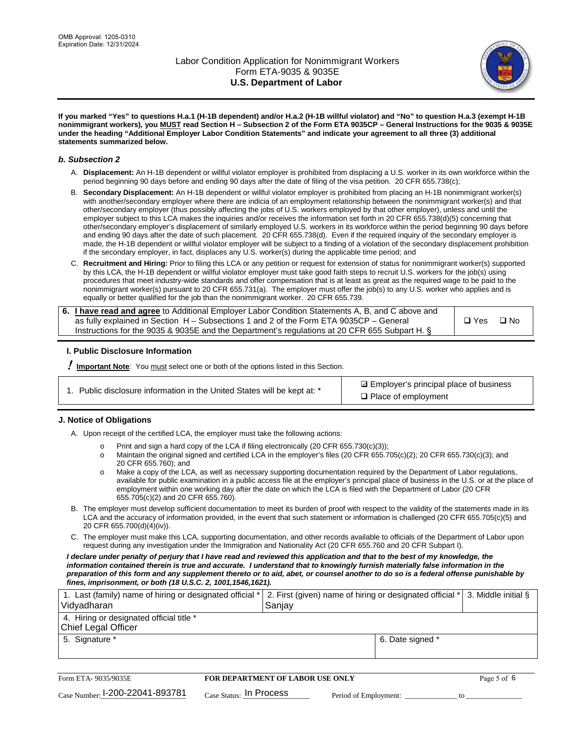

**If you marked "Yes" to questions H.a.1 (H-1B dependent) and/or H.a.2 (H-1B willful violator) and "No" to question H.a.3 (exempt H-1B nonimmigrant workers), you MUST read Section H – Subsection 2 of the Form ETA 9035CP – General Instructions for the 9035 & 9035E under the heading "Additional Employer Labor Condition Statements" and indicate your agreement to all three (3) additional statements summarized below.**

#### *b. Subsection 2*

- A. **Displacement:** An H-1B dependent or willful violator employer is prohibited from displacing a U.S. worker in its own workforce within the period beginning 90 days before and ending 90 days after the date of filing of the visa petition. 20 CFR 655.738(c);
- B. **Secondary Displacement:** An H-1B dependent or willful violator employer is prohibited from placing an H-1B nonimmigrant worker(s) with another/secondary employer where there are indicia of an employment relationship between the nonimmigrant worker(s) and that other/secondary employer (thus possibly affecting the jobs of U.S. workers employed by that other employer), unless and until the employer subject to this LCA makes the inquiries and/or receives the information set forth in 20 CFR 655.738(d)(5) concerning that other/secondary employer's displacement of similarly employed U.S. workers in its workforce within the period beginning 90 days before and ending 90 days after the date of such placement. 20 CFR 655.738(d). Even if the required inquiry of the secondary employer is made, the H-1B dependent or willful violator employer will be subject to a finding of a violation of the secondary displacement prohibition if the secondary employer, in fact, displaces any U.S. worker(s) during the applicable time period; and
- C. **Recruitment and Hiring:** Prior to filing this LCA or any petition or request for extension of status for nonimmigrant worker(s) supported by this LCA, the H-1B dependent or willful violator employer must take good faith steps to recruit U.S. workers for the job(s) using procedures that meet industry-wide standards and offer compensation that is at least as great as the required wage to be paid to the nonimmigrant worker(s) pursuant to 20 CFR 655.731(a). The employer must offer the job(s) to any U.S. worker who applies and is equally or better qualified for the job than the nonimmigrant worker. 20 CFR 655.739.

| 6. I have read and agree to Additional Employer Labor Condition Statements A, B, and C above and |       |           |
|--------------------------------------------------------------------------------------------------|-------|-----------|
| as fully explained in Section H – Subsections 1 and 2 of the Form ETA 9035CP – General           | □ Yes | $\Box$ No |
| Instructions for the 9035 & 9035E and the Department's regulations at 20 CFR 655 Subpart H. §    |       |           |

### **I. Public Disclosure Information**

! **Important Note***:* You must select one or both of the options listed in this Section.

| 1. Public disclosure information in the United States will be kept at: * |  |  |  |  |  |  |  |
|--------------------------------------------------------------------------|--|--|--|--|--|--|--|
|--------------------------------------------------------------------------|--|--|--|--|--|--|--|

**sqrt** Employer's principal place of business □ Place of employment

### **J. Notice of Obligations**

A. Upon receipt of the certified LCA, the employer must take the following actions:

- o Print and sign a hard copy of the LCA if filing electronically (20 CFR 655.730(c)(3));<br>
Maintain the original signed and certified LCA in the employer's files (20 CFR 655.7
- Maintain the original signed and certified LCA in the employer's files (20 CFR 655.705(c)(2); 20 CFR 655.730(c)(3); and 20 CFR 655.760); and
- o Make a copy of the LCA, as well as necessary supporting documentation required by the Department of Labor regulations, available for public examination in a public access file at the employer's principal place of business in the U.S. or at the place of employment within one working day after the date on which the LCA is filed with the Department of Labor (20 CFR 655.705(c)(2) and 20 CFR 655.760).
- B. The employer must develop sufficient documentation to meet its burden of proof with respect to the validity of the statements made in its LCA and the accuracy of information provided, in the event that such statement or information is challenged (20 CFR 655.705(c)(5) and 20 CFR 655.700(d)(4)(iv)).
- C. The employer must make this LCA, supporting documentation, and other records available to officials of the Department of Labor upon request during any investigation under the Immigration and Nationality Act (20 CFR 655.760 and 20 CFR Subpart I).

*I declare under penalty of perjury that I have read and reviewed this application and that to the best of my knowledge, the*  information contained therein is true and accurate. I understand that to knowingly furnish materially false information in the *preparation of this form and any supplement thereto or to aid, abet, or counsel another to do so is a federal offense punishable by fines, imprisonment, or both (18 U.S.C. 2, 1001,1546,1621).*

| 1. Last (family) name of hiring or designated official *   2. First (given) name of hiring or designated official *   3. Middle initial §<br>Vidyadharan | Saniav           |  |
|----------------------------------------------------------------------------------------------------------------------------------------------------------|------------------|--|
| 4. Hiring or designated official title *<br>Chief Legal Officer                                                                                          |                  |  |
| 5. Signature *                                                                                                                                           | 6. Date signed * |  |

| Form ETA-9035/9035E             | <b>FOR DEPARTMENT OF LABOR USE ONLY</b> | Page 5 of 6           |  |
|---------------------------------|-----------------------------------------|-----------------------|--|
| Case Number: 1-200-22041-893781 | $_{\text{Case Status:}}$ In Process     | Period of Employment: |  |